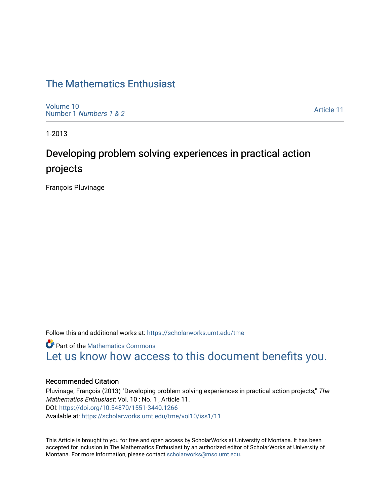# [The Mathematics Enthusiast](https://scholarworks.umt.edu/tme)

[Volume 10](https://scholarworks.umt.edu/tme/vol10) Number 1 [Numbers 1 & 2](https://scholarworks.umt.edu/tme/vol10/iss1)

[Article 11](https://scholarworks.umt.edu/tme/vol10/iss1/11) 

1-2013

# Developing problem solving experiences in practical action projects

François Pluvinage

Follow this and additional works at: [https://scholarworks.umt.edu/tme](https://scholarworks.umt.edu/tme?utm_source=scholarworks.umt.edu%2Ftme%2Fvol10%2Fiss1%2F11&utm_medium=PDF&utm_campaign=PDFCoverPages) 

**Part of the [Mathematics Commons](http://network.bepress.com/hgg/discipline/174?utm_source=scholarworks.umt.edu%2Ftme%2Fvol10%2Fiss1%2F11&utm_medium=PDF&utm_campaign=PDFCoverPages)** [Let us know how access to this document benefits you.](https://goo.gl/forms/s2rGfXOLzz71qgsB2) 

# Recommended Citation

Pluvinage, François (2013) "Developing problem solving experiences in practical action projects," The Mathematics Enthusiast: Vol. 10 : No. 1 , Article 11. DOI:<https://doi.org/10.54870/1551-3440.1266> Available at: [https://scholarworks.umt.edu/tme/vol10/iss1/11](https://scholarworks.umt.edu/tme/vol10/iss1/11?utm_source=scholarworks.umt.edu%2Ftme%2Fvol10%2Fiss1%2F11&utm_medium=PDF&utm_campaign=PDFCoverPages)

This Article is brought to you for free and open access by ScholarWorks at University of Montana. It has been accepted for inclusion in The Mathematics Enthusiast by an authorized editor of ScholarWorks at University of Montana. For more information, please contact [scholarworks@mso.umt.edu.](mailto:scholarworks@mso.umt.edu)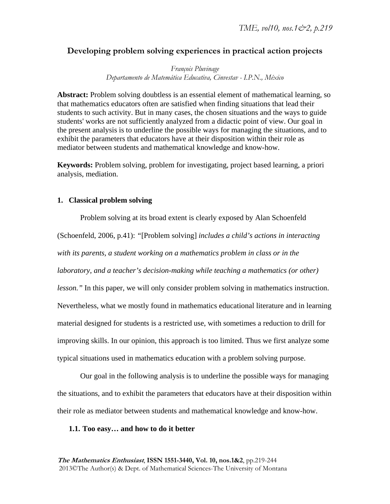# **Developing problem solving experiences in practical action projects**

*François Pluvinage Departamento de Matemática Educativa, Cinvestav - I.P.N., México* 

**Abstract:** Problem solving doubtless is an essential element of mathematical learning, so that mathematics educators often are satisfied when finding situations that lead their students to such activity. But in many cases, the chosen situations and the ways to guide students' works are not sufficiently analyzed from a didactic point of view. Our goal in the present analysis is to underline the possible ways for managing the situations, and to exhibit the parameters that educators have at their disposition within their role as mediator between students and mathematical knowledge and know-how.

**Keywords:** Problem solving, problem for investigating, project based learning, a priori analysis, mediation.

# **1. Classical problem solving**

Problem solving at its broad extent is clearly exposed by Alan Schoenfeld (Schoenfeld, 2006, p.41): *"*[Problem solving] *includes a child's actions in interacting with its parents, a student working on a mathematics problem in class or in the laboratory, and a teacher's decision-making while teaching a mathematics (or other) lesson."* In this paper, we will only consider problem solving in mathematics instruction. Nevertheless, what we mostly found in mathematics educational literature and in learning material designed for students is a restricted use, with sometimes a reduction to drill for improving skills. In our opinion, this approach is too limited. Thus we first analyze some typical situations used in mathematics education with a problem solving purpose.

Our goal in the following analysis is to underline the possible ways for managing the situations, and to exhibit the parameters that educators have at their disposition within their role as mediator between students and mathematical knowledge and know-how.

# **1.1. Too easy… and how to do it better**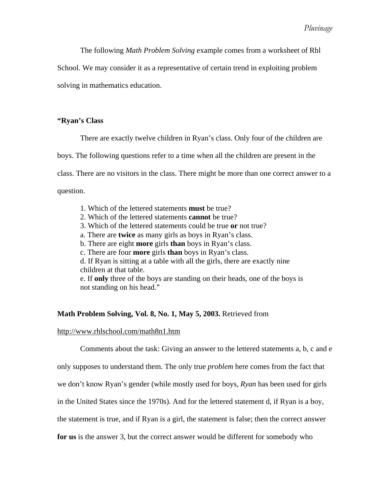The following *Math Problem Solving* example comes from a worksheet of Rhl

School. We may consider it as a representative of certain trend in exploiting problem

solving in mathematics education.

# **"Ryan's Class**

There are exactly twelve children in Ryan's class. Only four of the children are

boys. The following questions refer to a time when all the children are present in the

class. There are no visitors in the class. There might be more than one correct answer to a

question.

- 1. Which of the lettered statements **must** be true?
- 2. Which of the lettered statements **cannot** be true?
- 3. Which of the lettered statements could be true **or** not true?
- a. There are **twice** as many girls as boys in Ryan's class.
- b. There are eight **more** girls **than** boys in Ryan's class.
- c. There are four **more** girls **than** boys in Ryan's class.

d. If Ryan is sitting at a table with all the girls, there are exactly nine children at that table.

e. If **only** three of the boys are standing on their heads, one of the boys is not standing on his head."

# **Math Problem Solving, Vol. 8, No. 1, May 5, 2003.** Retrieved from

#### http://www.rhlschool.com/math8n1.htm

Comments about the task: Giving an answer to the lettered statements a, b, c and e

only supposes to understand them. The only true *problem* here comes from the fact that

we don't know Ryan's gender (while mostly used for boys, *Ryan* has been used for girls

in the United States since the 1970s). And for the lettered statement d, if Ryan is a boy,

the statement is true, and if Ryan is a girl, the statement is false; then the correct answer

**for us** is the answer 3, but the correct answer would be different for somebody who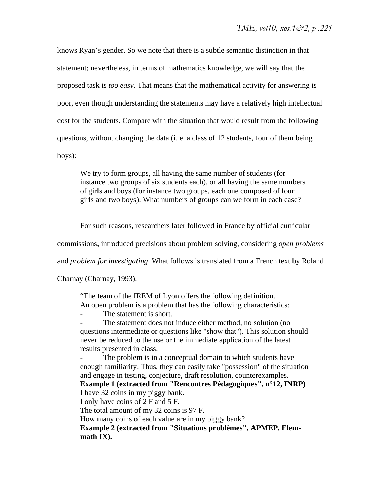knows Ryan's gender. So we note that there is a subtle semantic distinction in that statement; nevertheless, in terms of mathematics knowledge, we will say that the proposed task is *too easy*. That means that the mathematical activity for answering is poor, even though understanding the statements may have a relatively high intellectual cost for the students. Compare with the situation that would result from the following questions, without changing the data (i. e. a class of 12 students, four of them being boys):

We try to form groups, all having the same number of students (for instance two groups of six students each), or all having the same numbers of girls and boys (for instance two groups, each one composed of four girls and two boys). What numbers of groups can we form in each case?

For such reasons, researchers later followed in France by official curricular

commissions, introduced precisions about problem solving, considering *open problems*

and *problem for investigating*. What follows is translated from a French text by Roland

Charnay (Charnay, 1993).

"The team of the IREM of Lyon offers the following definition. An open problem is a problem that has the following characteristics:

The statement is short.

The statement does not induce either method, no solution (no questions intermediate or questions like "show that"). This solution should never be reduced to the use or the immediate application of the latest results presented in class.

The problem is in a conceptual domain to which students have enough familiarity. Thus, they can easily take "possession" of the situation and engage in testing, conjecture, draft resolution, counterexamples. **Example 1 (extracted from "Rencontres Pédagogiques", n°12, INRP)** I have 32 coins in my piggy bank. I only have coins of 2 F and 5 F. The total amount of my 32 coins is 97 F. How many coins of each value are in my piggy bank? **Example 2 (extracted from "Situations problèmes", APMEP, Elemmath IX).**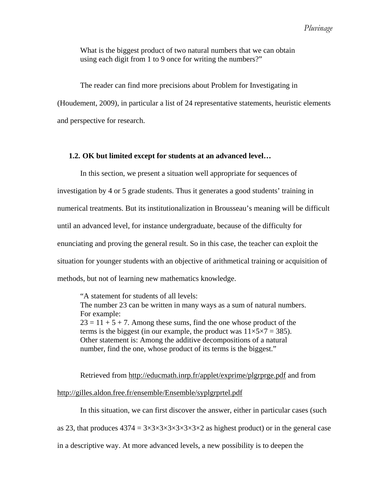What is the biggest product of two natural numbers that we can obtain using each digit from 1 to 9 once for writing the numbers?"

The reader can find more precisions about Problem for Investigating in (Houdement, 2009), in particular a list of 24 representative statements, heuristic elements and perspective for research.

# **1.2. OK but limited except for students at an advanced level…**

In this section, we present a situation well appropriate for sequences of investigation by 4 or 5 grade students. Thus it generates a good students' training in numerical treatments. But its institutionalization in Brousseau's meaning will be difficult until an advanced level, for instance undergraduate, because of the difficulty for enunciating and proving the general result. So in this case, the teacher can exploit the situation for younger students with an objective of arithmetical training or acquisition of methods, but not of learning new mathematics knowledge.

"A statement for students of all levels: The number 23 can be written in many ways as a sum of natural numbers. For example:  $23 = 11 + 5 + 7$ . Among these sums, find the one whose product of the terms is the biggest (in our example, the product was  $11\times5\times7 = 385$ ). Other statement is: Among the additive decompositions of a natural number, find the one, whose product of its terms is the biggest."

Retrieved from http://educmath.inrp.fr/applet/exprime/plgrprge.pdf and from

# http://gilles.aldon.free.fr/ensemble/Ensemble/syplgrprtel.pdf

In this situation, we can first discover the answer, either in particular cases (such as 23, that produces  $4374 = 3 \times 3 \times 3 \times 3 \times 3 \times 3 \times 2$  as highest product) or in the general case in a descriptive way. At more advanced levels, a new possibility is to deepen the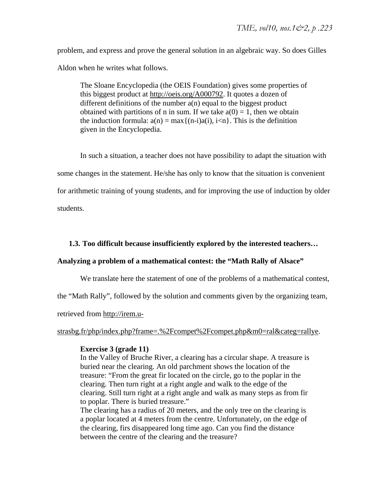problem, and express and prove the general solution in an algebraic way. So does Gilles Aldon when he writes what follows.

The Sloane Encyclopedia (the OEIS Foundation) gives some properties of this biggest product at http://oeis.org/A000792. It quotes a dozen of different definitions of the number a(n) equal to the biggest product obtained with partitions of n in sum. If we take  $a(0) = 1$ , then we obtain the induction formula:  $a(n) = max\{(n-i)a(i), i\leq n\}$ . This is the definition given in the Encyclopedia.

In such a situation, a teacher does not have possibility to adapt the situation with some changes in the statement. He/she has only to know that the situation is convenient for arithmetic training of young students, and for improving the use of induction by older students.

**1.3. Too difficult because insufficiently explored by the interested teachers…** 

# **Analyzing a problem of a mathematical contest: the "Math Rally of Alsace"**

We translate here the statement of one of the problems of a mathematical contest,

the "Math Rally", followed by the solution and comments given by the organizing team,

retrieved from http://irem.u-

strasbg.fr/php/index.php?frame=.%2Fcompet%2Fcompet.php&m0=ral&categ=rallye.

# **Exercise 3 (grade 11)**

In the Valley of Bruche River, a clearing has a circular shape. A treasure is buried near the clearing. An old parchment shows the location of the treasure: "From the great fir located on the circle, go to the poplar in the clearing. Then turn right at a right angle and walk to the edge of the clearing. Still turn right at a right angle and walk as many steps as from fir to poplar. There is buried treasure."

The clearing has a radius of 20 meters, and the only tree on the clearing is a poplar located at 4 meters from the centre. Unfortunately, on the edge of the clearing, firs disappeared long time ago. Can you find the distance between the centre of the clearing and the treasure?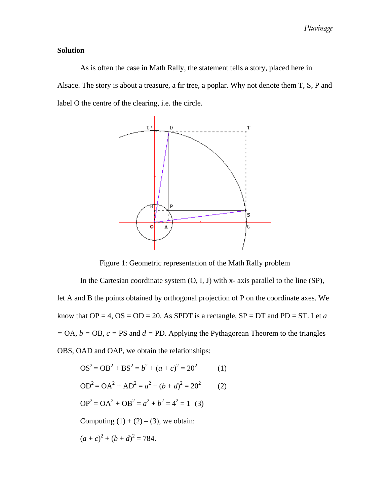# **Solution**

As is often the case in Math Rally, the statement tells a story, placed here in Alsace. The story is about a treasure, a fir tree, a poplar. Why not denote them T, S, P and label O the centre of the clearing, i.e. the circle.



Figure 1: Geometric representation of the Math Rally problem

In the Cartesian coordinate system  $(O, I, J)$  with x- axis parallel to the line  $(SP)$ , let A and B the points obtained by orthogonal projection of P on the coordinate axes. We know that  $OP = 4$ ,  $OS = OD = 20$ . As SPDT is a rectangle,  $SP = DT$  and  $PD = ST$ . Let *a =* OA*, b =* OB*, c =* PS and *d =* PD. Applying the Pythagorean Theorem to the triangles OBS, OAD and OAP, we obtain the relationships:

$$
OS2 = OB2 + BS2 = b2 + (a + c)2 = 202
$$
 (1)  
\n
$$
OD2 = OA2 + AD2 = a2 + (b + d)2 = 202
$$
 (2)  
\n
$$
OP2 = OA2 + OB2 = a2 + b2 = 42 = 1
$$
 (3)  
\nComputing (1) + (2) – (3), we obtain:  
\n
$$
(a + c)2 + (b + d)2 = 784.
$$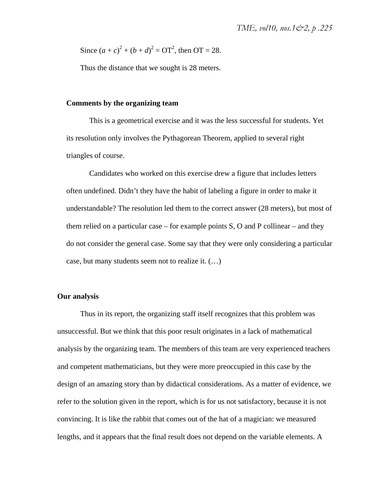Since  $(a + c)^2 + (b + d)^2 = \text{OT}^2$ , then  $\text{OT} = 28$ .

Thus the distance that we sought is 28 meters.

# **Comments by the organizing team**

This is a geometrical exercise and it was the less successful for students. Yet its resolution only involves the Pythagorean Theorem, applied to several right triangles of course.

Candidates who worked on this exercise drew a figure that includes letters often undefined. Didn't they have the habit of labeling a figure in order to make it understandable? The resolution led them to the correct answer (28 meters), but most of them relied on a particular case – for example points S, O and P collinear – and they do not consider the general case. Some say that they were only considering a particular case, but many students seem not to realize it. (…)

# **Our analysis**

Thus in its report, the organizing staff itself recognizes that this problem was unsuccessful. But we think that this poor result originates in a lack of mathematical analysis by the organizing team. The members of this team are very experienced teachers and competent mathematicians, but they were more preoccupied in this case by the design of an amazing story than by didactical considerations. As a matter of evidence, we refer to the solution given in the report, which is for us not satisfactory, because it is not convincing. It is like the rabbit that comes out of the hat of a magician: we measured lengths, and it appears that the final result does not depend on the variable elements. A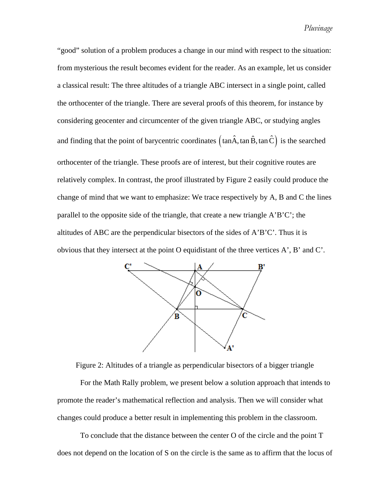*Pluvinage*

"good" solution of a problem produces a change in our mind with respect to the situation: from mysterious the result becomes evident for the reader. As an example, let us consider a classical result: The three altitudes of a triangle ABC intersect in a single point, called the orthocenter of the triangle. There are several proofs of this theorem, for instance by considering geocenter and circumcenter of the given triangle ABC, or studying angles and finding that the point of barycentric coordinates  $(\tan \hat{A}, \tan \hat{B}, \tan \hat{C})$  is the searched orthocenter of the triangle. These proofs are of interest, but their cognitive routes are relatively complex. In contrast, the proof illustrated by Figure 2 easily could produce the change of mind that we want to emphasize: We trace respectively by A, B and C the lines parallel to the opposite side of the triangle, that create a new triangle A'B'C'; the altitudes of ABC are the perpendicular bisectors of the sides of A'B'C'. Thus it is obvious that they intersect at the point O equidistant of the three vertices A', B' and C'.



Figure 2: Altitudes of a triangle as perpendicular bisectors of a bigger triangle

For the Math Rally problem, we present below a solution approach that intends to promote the reader's mathematical reflection and analysis. Then we will consider what changes could produce a better result in implementing this problem in the classroom.

To conclude that the distance between the center O of the circle and the point T does not depend on the location of S on the circle is the same as to affirm that the locus of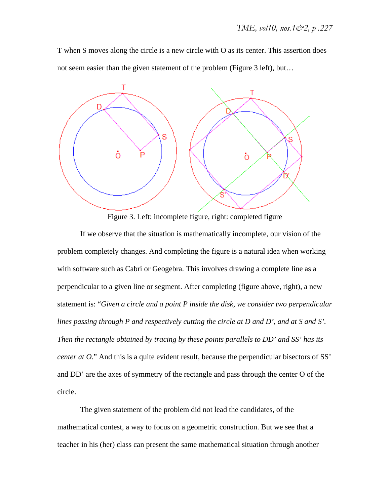T when S moves along the circle is a new circle with O as its center. This assertion does not seem easier than the given statement of the problem (Figure 3 left), but…



Figure 3. Left: incomplete figure, right: completed figure

If we observe that the situation is mathematically incomplete, our vision of the problem completely changes. And completing the figure is a natural idea when working with software such as Cabri or Geogebra. This involves drawing a complete line as a perpendicular to a given line or segment. After completing (figure above, right), a new statement is: "*Given a circle and a point P inside the disk, we consider two perpendicular lines passing through P and respectively cutting the circle at D and D', and at S and S'. Then the rectangle obtained by tracing by these points parallels to DD' and SS' has its center at O.*" And this is a quite evident result, because the perpendicular bisectors of SS' and DD' are the axes of symmetry of the rectangle and pass through the center O of the circle.

The given statement of the problem did not lead the candidates, of the mathematical contest, a way to focus on a geometric construction. But we see that a teacher in his (her) class can present the same mathematical situation through another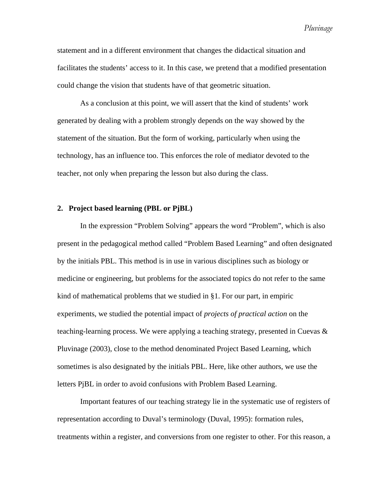*Pluvinage*

statement and in a different environment that changes the didactical situation and facilitates the students' access to it. In this case, we pretend that a modified presentation could change the vision that students have of that geometric situation.

As a conclusion at this point, we will assert that the kind of students' work generated by dealing with a problem strongly depends on the way showed by the statement of the situation. But the form of working, particularly when using the technology, has an influence too. This enforces the role of mediator devoted to the teacher, not only when preparing the lesson but also during the class.

#### **2. Project based learning (PBL or PjBL)**

In the expression "Problem Solving" appears the word "Problem", which is also present in the pedagogical method called "Problem Based Learning" and often designated by the initials PBL. This method is in use in various disciplines such as biology or medicine or engineering, but problems for the associated topics do not refer to the same kind of mathematical problems that we studied in §1. For our part, in empiric experiments, we studied the potential impact of *projects of practical action* on the teaching-learning process. We were applying a teaching strategy, presented in Cuevas  $\&$ Pluvinage (2003), close to the method denominated Project Based Learning, which sometimes is also designated by the initials PBL. Here, like other authors, we use the letters PjBL in order to avoid confusions with Problem Based Learning.

Important features of our teaching strategy lie in the systematic use of registers of representation according to Duval's terminology (Duval, 1995): formation rules, treatments within a register, and conversions from one register to other. For this reason, a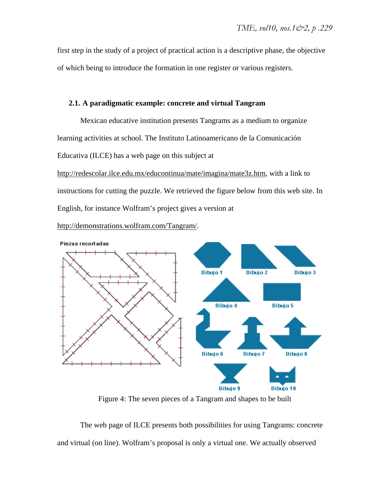first step in the study of a project of practical action is a descriptive phase, the objective of which being to introduce the formation in one register or various registers.

# **2.1. A paradigmatic example: concrete and virtual Tangram**

Mexican educative institution presents Tangrams as a medium to organize learning activities at school. The Instituto Latinoamericano de la Comunicación Educativa (ILCE) has a web page on this subject at

http://redescolar.ilce.edu.mx/educontinua/mate/imagina/mate3z.htm, with a link to instructions for cutting the puzzle. We retrieved the figure below from this web site. In English, for instance Wolfram's project gives a version at

http://demonstrations.wolfram.com/Tangram/.



Figure 4: The seven pieces of a Tangram and shapes to be built

The web page of ILCE presents both possibilities for using Tangrams: concrete and virtual (on line). Wolfram's proposal is only a virtual one. We actually observed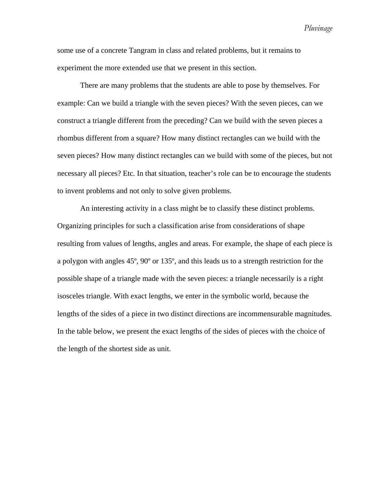*Pluvinage*

some use of a concrete Tangram in class and related problems, but it remains to experiment the more extended use that we present in this section.

There are many problems that the students are able to pose by themselves. For example: Can we build a triangle with the seven pieces? With the seven pieces, can we construct a triangle different from the preceding? Can we build with the seven pieces a rhombus different from a square? How many distinct rectangles can we build with the seven pieces? How many distinct rectangles can we build with some of the pieces, but not necessary all pieces? Etc. In that situation, teacher's role can be to encourage the students to invent problems and not only to solve given problems.

An interesting activity in a class might be to classify these distinct problems. Organizing principles for such a classification arise from considerations of shape resulting from values of lengths, angles and areas. For example, the shape of each piece is a polygon with angles 45º, 90º or 135º, and this leads us to a strength restriction for the possible shape of a triangle made with the seven pieces: a triangle necessarily is a right isosceles triangle. With exact lengths, we enter in the symbolic world, because the lengths of the sides of a piece in two distinct directions are incommensurable magnitudes. In the table below, we present the exact lengths of the sides of pieces with the choice of the length of the shortest side as unit.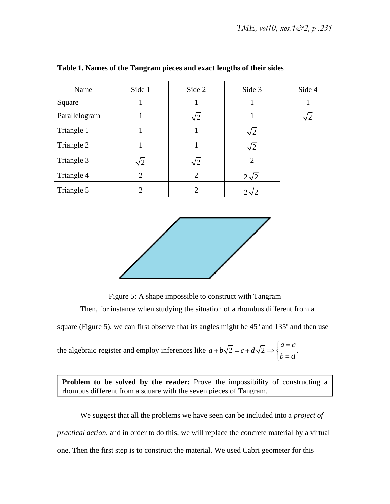| Name          | Side 1                      | Side 2     | Side 3         | Side 4 |
|---------------|-----------------------------|------------|----------------|--------|
| Square        |                             |            |                |        |
| Parallelogram |                             | $\sqrt{2}$ |                |        |
| Triangle 1    |                             |            | 2              |        |
| Triangle 2    |                             |            | $\sqrt{2}$     |        |
| Triangle 3    | '2                          | $\sqrt{2}$ | $\overline{2}$ |        |
| Triangle 4    | $\overline{2}$              | 2          | $2\sqrt{2}$    |        |
| Triangle 5    | $\mathcal{D}_{\mathcal{A}}$ | 2          |                |        |

# **Table 1. Names of the Tangram pieces and exact lengths of their sides**



Figure 5: A shape impossible to construct with Tangram Then, for instance when studying the situation of a rhombus different from a

square (Figure 5), we can first observe that its angles might be 45º and 135º and then use

the algebraic register and employ inferences like  $a+b\sqrt{2}=c+d\sqrt{2} \Rightarrow \begin{cases} a & c \end{cases}$ .  $a = c$  $a+b\sqrt{2}=c+d$  $+b\sqrt{2} = c + d\sqrt{2} \Rightarrow \begin{cases} a = c \\ b = d \end{cases}$  $\lfloor b \rfloor$ 

**Problem to be solved by the reader:** Prove the impossibility of constructing a rhombus different from a square with the seven pieces of Tangram.

We suggest that all the problems we have seen can be included into a *project of practical action*, and in order to do this, we will replace the concrete material by a virtual one. Then the first step is to construct the material. We used Cabri geometer for this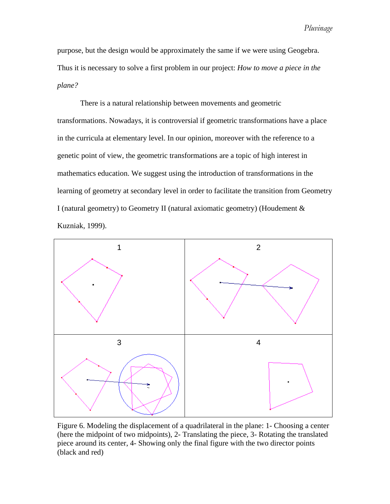purpose, but the design would be approximately the same if we were using Geogebra. Thus it is necessary to solve a first problem in our project: *How to move a piece in the plane?* 

There is a natural relationship between movements and geometric transformations. Nowadays, it is controversial if geometric transformations have a place in the curricula at elementary level. In our opinion, moreover with the reference to a genetic point of view, the geometric transformations are a topic of high interest in mathematics education. We suggest using the introduction of transformations in the learning of geometry at secondary level in order to facilitate the transition from Geometry I (natural geometry) to Geometry II (natural axiomatic geometry) (Houdement & Kuzniak, 1999).



Figure 6. Modeling the displacement of a quadrilateral in the plane: 1- Choosing a center (here the midpoint of two midpoints), 2- Translating the piece, 3- Rotating the translated piece around its center, 4- Showing only the final figure with the two director points (black and red)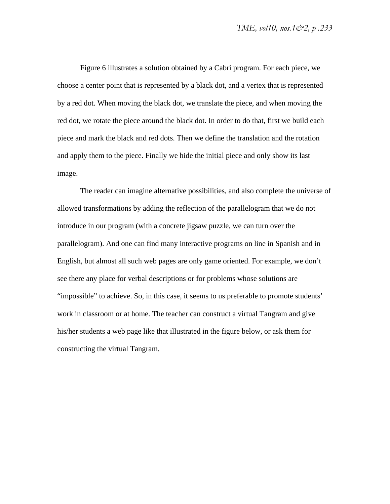Figure 6 illustrates a solution obtained by a Cabri program. For each piece, we choose a center point that is represented by a black dot, and a vertex that is represented by a red dot. When moving the black dot, we translate the piece, and when moving the red dot, we rotate the piece around the black dot. In order to do that, first we build each piece and mark the black and red dots. Then we define the translation and the rotation and apply them to the piece. Finally we hide the initial piece and only show its last image.

The reader can imagine alternative possibilities, and also complete the universe of allowed transformations by adding the reflection of the parallelogram that we do not introduce in our program (with a concrete jigsaw puzzle, we can turn over the parallelogram). And one can find many interactive programs on line in Spanish and in English, but almost all such web pages are only game oriented. For example, we don't see there any place for verbal descriptions or for problems whose solutions are "impossible" to achieve. So, in this case, it seems to us preferable to promote students' work in classroom or at home. The teacher can construct a virtual Tangram and give his/her students a web page like that illustrated in the figure below, or ask them for constructing the virtual Tangram.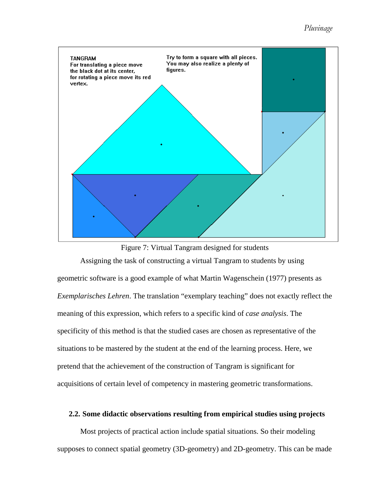# *Pluvinage*



Figure 7: Virtual Tangram designed for students

Assigning the task of constructing a virtual Tangram to students by using geometric software is a good example of what Martin Wagenschein (1977) presents as *Exemplarisches Lehren*. The translation "exemplary teaching" does not exactly reflect the meaning of this expression, which refers to a specific kind of *case analysis*. The specificity of this method is that the studied cases are chosen as representative of the situations to be mastered by the student at the end of the learning process. Here, we pretend that the achievement of the construction of Tangram is significant for acquisitions of certain level of competency in mastering geometric transformations.

# **2.2. Some didactic observations resulting from empirical studies using projects**

Most projects of practical action include spatial situations. So their modeling supposes to connect spatial geometry (3D-geometry) and 2D-geometry. This can be made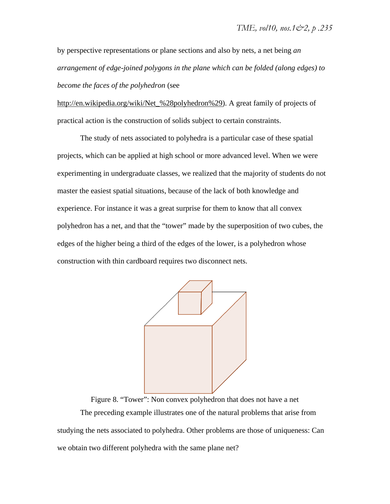by perspective representations or plane sections and also by nets, a net being *an arrangement of edge-joined polygons in the plane which can be folded (along edges) to become the faces of the polyhedron* (see

http://en.wikipedia.org/wiki/Net\_%28polyhedron%29). A great family of projects of practical action is the construction of solids subject to certain constraints.

The study of nets associated to polyhedra is a particular case of these spatial projects, which can be applied at high school or more advanced level. When we were experimenting in undergraduate classes, we realized that the majority of students do not master the easiest spatial situations, because of the lack of both knowledge and experience. For instance it was a great surprise for them to know that all convex polyhedron has a net, and that the "tower" made by the superposition of two cubes, the edges of the higher being a third of the edges of the lower, is a polyhedron whose construction with thin cardboard requires two disconnect nets.



Figure 8. "Tower": Non convex polyhedron that does not have a net The preceding example illustrates one of the natural problems that arise from studying the nets associated to polyhedra. Other problems are those of uniqueness: Can we obtain two different polyhedra with the same plane net?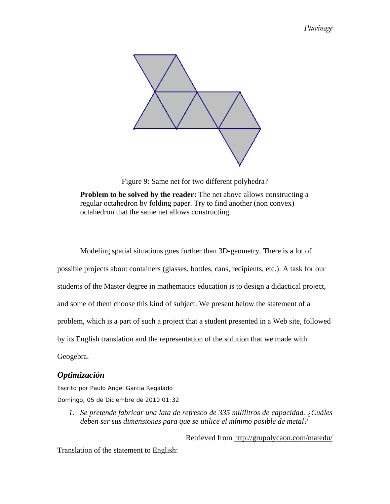

Figure 9: Same net for two different polyhedra?

**Problem to be solved by the reader:** The net above allows constructing a regular octahedron by folding paper. Try to find another (non convex) octahedron that the same net allows constructing.

Modeling spatial situations goes further than 3D-geometry. There is a lot of possible projects about containers (glasses, bottles, cans, recipients, etc.). A task for our students of the Master degree in mathematics education is to design a didactical project, and some of them choose this kind of subject. We present below the statement of a problem, which is a part of such a project that a student presented in a Web site, followed by its English translation and the representation of the solution that we made with Geogebra.

# *Optimización*

*Escrito por Paulo Angel Garcia Regalado Domingo, 05 de Diciembre de 2010 01:32* 

*1. Se pretende fabricar una lata de refresco de 335 mililitros de capacidad. ¿Cuáles deben ser sus dimensiones para que se utilice el mínimo posible de metal?* 

Retrieved from http://grupolycaon.com/matedu/

Translation of the statement to English: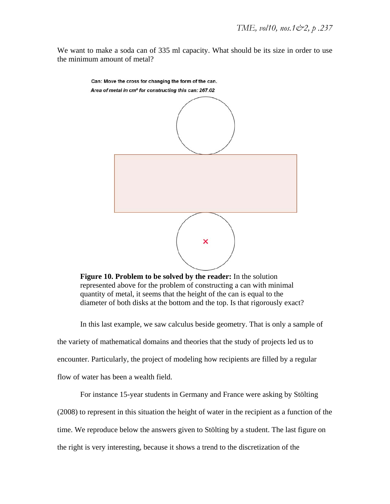We want to make a soda can of 335 ml capacity. What should be its size in order to use the minimum amount of metal?



**Figure 10. Problem to be solved by the reader:** In the solution represented above for the problem of constructing a can with minimal quantity of metal, it seems that the height of the can is equal to the diameter of both disks at the bottom and the top. Is that rigorously exact?

In this last example, we saw calculus beside geometry. That is only a sample of the variety of mathematical domains and theories that the study of projects led us to encounter. Particularly, the project of modeling how recipients are filled by a regular flow of water has been a wealth field.

For instance 15-year students in Germany and France were asking by Stölting (2008) to represent in this situation the height of water in the recipient as a function of the time. We reproduce below the answers given to Stölting by a student. The last figure on the right is very interesting, because it shows a trend to the discretization of the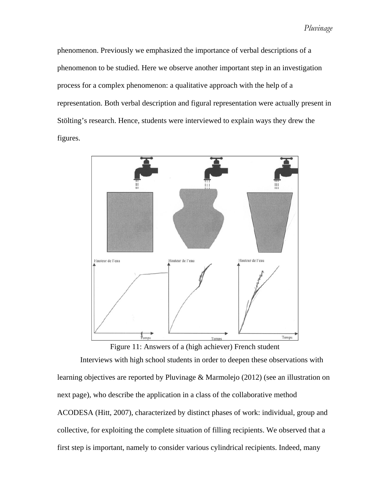phenomenon. Previously we emphasized the importance of verbal descriptions of a phenomenon to be studied. Here we observe another important step in an investigation process for a complex phenomenon: a qualitative approach with the help of a representation. Both verbal description and figural representation were actually present in Stölting's research. Hence, students were interviewed to explain ways they drew the figures.



Figure 11: Answers of a (high achiever) French student

Interviews with high school students in order to deepen these observations with learning objectives are reported by Pluvinage & Marmolejo (2012) (see an illustration on next page), who describe the application in a class of the collaborative method ACODESA (Hitt, 2007), characterized by distinct phases of work: individual, group and collective, for exploiting the complete situation of filling recipients. We observed that a first step is important, namely to consider various cylindrical recipients. Indeed, many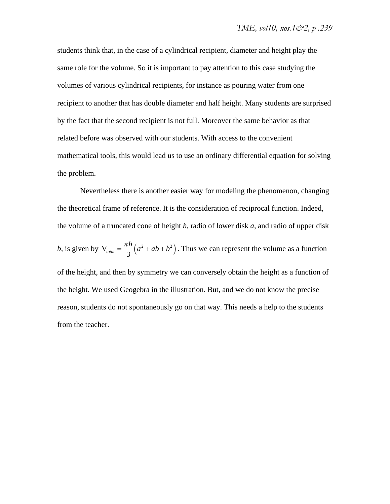students think that, in the case of a cylindrical recipient, diameter and height play the same role for the volume. So it is important to pay attention to this case studying the volumes of various cylindrical recipients, for instance as pouring water from one recipient to another that has double diameter and half height. Many students are surprised by the fact that the second recipient is not full. Moreover the same behavior as that related before was observed with our students. With access to the convenient mathematical tools, this would lead us to use an ordinary differential equation for solving the problem.

Nevertheless there is another easier way for modeling the phenomenon, changing the theoretical frame of reference. It is the consideration of reciprocal function. Indeed, the volume of a truncated cone of height *h*, radio of lower disk *a*, and radio of upper disk *b*, is given by  $V_{total} = \frac{\lambda R}{3} (a^2 + ab + b^2)$  $=\frac{\pi h}{2}(a^2+ab+b^2)$ . Thus we can represent the volume as a function of the height, and then by symmetry we can conversely obtain the height as a function of the height. We used Geogebra in the illustration. But, and we do not know the precise reason, students do not spontaneously go on that way. This needs a help to the students from the teacher.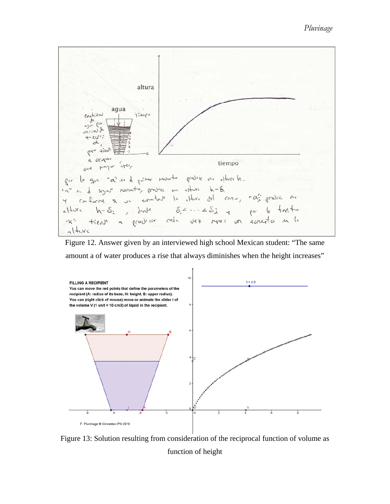

Figure 12. Answer given by an interviewed high school Mexican student: "The same amount a of water produces a rise that always diminishes when the height increases"



Figure 13: Solution resulting from consideration of the reciprocal function of volume as function of height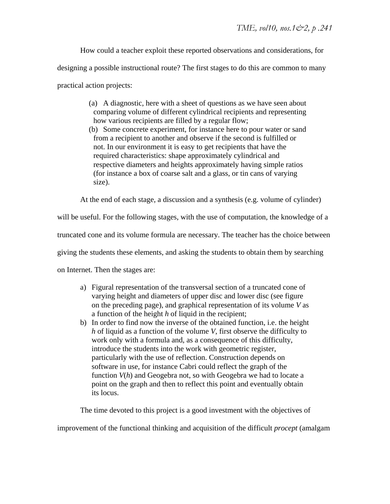How could a teacher exploit these reported observations and considerations, for designing a possible instructional route? The first stages to do this are common to many practical action projects:

- (a) A diagnostic, here with a sheet of questions as we have seen about comparing volume of different cylindrical recipients and representing how various recipients are filled by a regular flow;
- (b) Some concrete experiment, for instance here to pour water or sand from a recipient to another and observe if the second is fulfilled or not. In our environment it is easy to get recipients that have the required characteristics: shape approximately cylindrical and respective diameters and heights approximately having simple ratios (for instance a box of coarse salt and a glass, or tin cans of varying size).

At the end of each stage, a discussion and a synthesis (e.g. volume of cylinder)

will be useful. For the following stages, with the use of computation, the knowledge of a

truncated cone and its volume formula are necessary. The teacher has the choice between

giving the students these elements, and asking the students to obtain them by searching

on Internet. Then the stages are:

- a) Figural representation of the transversal section of a truncated cone of varying height and diameters of upper disc and lower disc (see figure on the preceding page), and graphical representation of its volume *V* as a function of the height *h* of liquid in the recipient;
- b) In order to find now the inverse of the obtained function, i.e. the height *h* of liquid as a function of the volume *V*, first observe the difficulty to work only with a formula and, as a consequence of this difficulty, introduce the students into the work with geometric register, particularly with the use of reflection. Construction depends on software in use, for instance Cabri could reflect the graph of the function *V*(*h*) and Geogebra not, so with Geogebra we had to locate a point on the graph and then to reflect this point and eventually obtain its locus.

The time devoted to this project is a good investment with the objectives of

improvement of the functional thinking and acquisition of the difficult *procept* (amalgam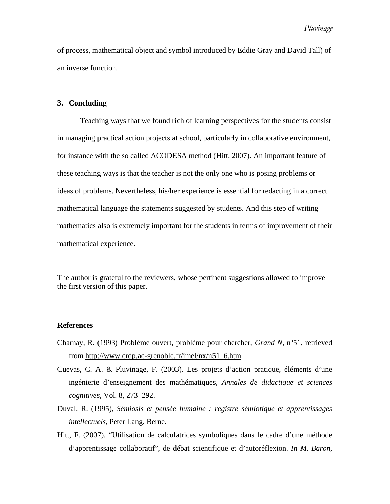of process, mathematical object and symbol introduced by Eddie Gray and David Tall) of an inverse function.

# **3. Concluding**

Teaching ways that we found rich of learning perspectives for the students consist in managing practical action projects at school, particularly in collaborative environment, for instance with the so called ACODESA method (Hitt, 2007). An important feature of these teaching ways is that the teacher is not the only one who is posing problems or ideas of problems. Nevertheless, his/her experience is essential for redacting in a correct mathematical language the statements suggested by students. And this step of writing mathematics also is extremely important for the students in terms of improvement of their mathematical experience.

The author is grateful to the reviewers, whose pertinent suggestions allowed to improve the first version of this paper.

# **References**

- Charnay, R. (1993) Problème ouvert, problème pour chercher, *Grand N*, nº51, retrieved from http://www.crdp.ac-grenoble.fr/imel/nx/n51\_6.htm
- Cuevas, C. A. & Pluvinage, F. (2003). Les projets d'action pratique, éléments d'une ingénierie d'enseignement des mathématiques, *Annales de didactique et sciences cognitives*, Vol. 8, 273–292.
- Duval, R. (1995), *Sémiosis et pensée humaine : registre sémiotique et apprentissages intellectuels*, Peter Lang, Berne.
- Hitt, F. (2007). "Utilisation de calculatrices symboliques dans le cadre d'une méthode d'apprentissage collaboratif", de débat scientifique et d'autoréflexion. *In M. Baron,*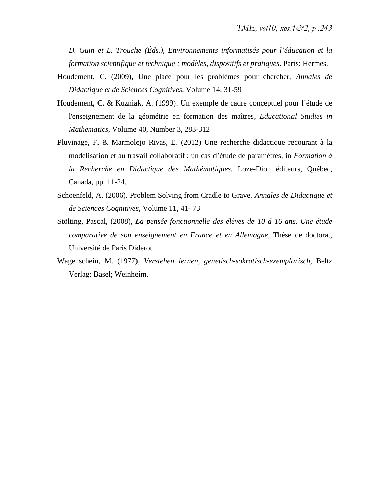*D. Guin et L. Trouche (Éds.), Environnements informatisés pour l'éducation et la formation scientifique et technique : modèles, dispositifs et pratiques*. Paris: Hermes.

- Houdement, C. (2009), Une place pour les problèmes pour chercher, *Annales de Didactique et de Sciences Cognitives*, Volume 14, 31-59
- Houdement, C. & Kuzniak, A. (1999). Un exemple de cadre conceptuel pour l'étude de l'enseignement de la géométrie en formation des maîtres, *Educational Studies in Mathematics*, Volume 40, Number 3, 283-312
- Pluvinage, F. & Marmolejo Rivas, E. (2012) Une recherche didactique recourant à la modélisation et au travail collaboratif : un cas d'étude de paramètres, in *Formation à la Recherche en Didactique des Mathématiques*, Loze-Dion éditeurs, Québec, Canada, pp. 11-24.
- Schoenfeld, A. (2006). Problem Solving from Cradle to Grave. *Annales de Didactique et de Sciences Cognitives*, Volume 11, 41- 73
- Stölting, Pascal, (2008), *La pensée fonctionnelle des élèves de 10 á 16 ans. Une étude comparative de son enseignement en France et en Allemagne,* Thèse de doctorat, Université de Paris Diderot
- Wagenschein, M. (1977), *Verstehen lernen, genetisch-sokratisch-exemplarisch*, Beltz Verlag: Basel; Weinheim.